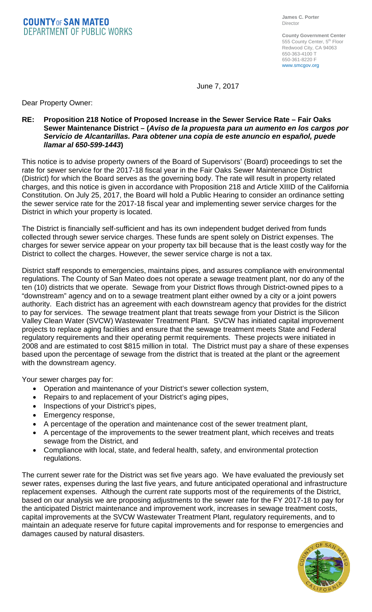**COUNTYOF SAN MATEO DEPARTMENT OF PUBLIC WORKS** 

**County Government Center** 555 County Center, 5<sup>th</sup> Floor Redwood City, CA 94063 650-363-4100 T 650-361-8220 F www.smcgov.org

June 7, 2017

Dear Property Owner:

### **RE: Proposition 218 Notice of Proposed Increase in the Sewer Service Rate – Fair Oaks Sewer Maintenance District – (***Aviso de la propuesta para un aumento en los cargos por Servicio de Alcantarillas. Para obtener una copia de este anuncio en español, puede llamar al 650-599-1443***)**

This notice is to advise property owners of the Board of Supervisors' (Board) proceedings to set the rate for sewer service for the 2017-18 fiscal year in the Fair Oaks Sewer Maintenance District (District) for which the Board serves as the governing body. The rate will result in property related charges, and this notice is given in accordance with Proposition 218 and Article XIIID of the California Constitution. On July 25, 2017, the Board will hold a Public Hearing to consider an ordinance setting the sewer service rate for the 2017-18 fiscal year and implementing sewer service charges for the District in which your property is located.

The District is financially self-sufficient and has its own independent budget derived from funds collected through sewer service charges. These funds are spent solely on District expenses. The charges for sewer service appear on your property tax bill because that is the least costly way for the District to collect the charges. However, the sewer service charge is not a tax.

District staff responds to emergencies, maintains pipes, and assures compliance with environmental regulations. The County of San Mateo does not operate a sewage treatment plant, nor do any of the ten (10) districts that we operate. Sewage from your District flows through District-owned pipes to a "downstream" agency and on to a sewage treatment plant either owned by a city or a joint powers authority. Each district has an agreement with each downstream agency that provides for the district to pay for services. The sewage treatment plant that treats sewage from your District is the Silicon Valley Clean Water (SVCW) Wastewater Treatment Plant. SVCW has initiated capital improvement projects to replace aging facilities and ensure that the sewage treatment meets State and Federal regulatory requirements and their operating permit requirements. These projects were initiated in 2008 and are estimated to cost \$815 million in total. The District must pay a share of these expenses based upon the percentage of sewage from the district that is treated at the plant or the agreement with the downstream agency.

Your sewer charges pay for:

- Operation and maintenance of your District's sewer collection system,
- Repairs to and replacement of your District's aging pipes,
- Inspections of your District's pipes,
- Emergency response,
- A percentage of the operation and maintenance cost of the sewer treatment plant,
- A percentage of the improvements to the sewer treatment plant, which receives and treats sewage from the District, and
- Compliance with local, state, and federal health, safety, and environmental protection regulations.

The current sewer rate for the District was set five years ago. We have evaluated the previously set sewer rates, expenses during the last five years, and future anticipated operational and infrastructure replacement expenses. Although the current rate supports most of the requirements of the District, based on our analysis we are proposing adjustments to the sewer rate for the FY 2017-18 to pay for the anticipated District maintenance and improvement work, increases in sewage treatment costs, capital improvements at the SVCW Wastewater Treatment Plant, regulatory requirements, and to maintain an adequate reserve for future capital improvements and for response to emergencies and damages caused by natural disasters.